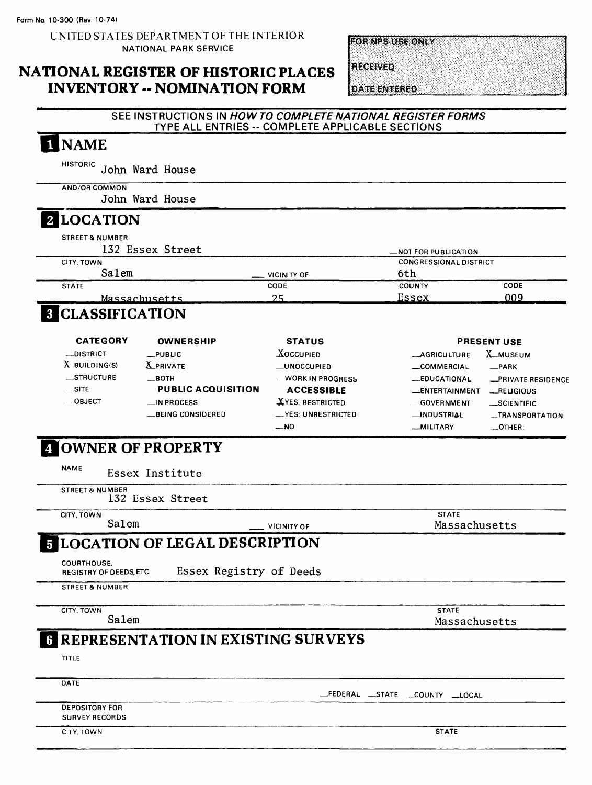UNITED STATES DEPARTMENT OF THE INTERIOR NATIONAL PARK SERVICE

### NATIONAL REGISTER OF HISTORIC PLACES INVENTORY -- NOMINATION FORM

**FOR NPS USE ONLY** 

**RECEIVED** 

**DATE ENTERED** 

#### SEE INSTRUCTIONS IN HOWTO COMPLETE NATIONAL REGISTER FORMS TYPE ALL ENTRIES -- COMPLETE APPLICABLE SECTIONS

#### NAME  $\blacksquare$

HISTORIC John Ward House

AND/OR COMMON John Ward House

### 2 LOCATION

STREET& NUMBER  $172$   $F_{22}$   $F_{32}$   $F_{42}$ 

| 152 ESSEX Street |                    | <b>MOT FOR PUBLICATION</b>    |      |
|------------------|--------------------|-------------------------------|------|
| CITY, TOWN       |                    | <b>CONGRESSIONAL DISTRICT</b> |      |
| Salem            | <b>VICINITY OF</b> | 6th                           |      |
| <b>STATE</b>     | <b>CODE</b>        | <b>COUNTY</b>                 | CODE |
| Massachusetts    | ח ר                | Essex                         | 009  |

# **B** CLASSIFICATION

| <b>CATEGORY</b>  | <b>OWNERSHIP</b>          | <b>STATUS</b>           |                       | <b>PRESENT USE</b> |
|------------------|---------------------------|-------------------------|-----------------------|--------------------|
| <b>_DISTRICT</b> | $_{-}$ PUBLIC             | <b>XOCCUPIED</b>        | <b>_AGRICULTURE</b>   | X_MUSEUM           |
| $X$ -BUILDING(S) | <b>X_PRIVATE</b>          | <b>LUNOCCUPIED</b>      | <b>COMMERCIAL</b>     | _PARK              |
| <b>STRUCTURE</b> | $\equiv$ BOTH             | -WORK IN PROGRESS       | <b>LEDUCATIONAL</b>   | -PRIVATE RESIDENCE |
| $\equiv$ SITE    | <b>PUBLIC ACQUISITION</b> | <b>ACCESSIBLE</b>       | <b>LENTERTAINMENT</b> | $-RELIGIOUS$       |
| $\_$ OBJECT      | $\Box$ IN PROCESS         | <b>XYES: RESTRICTED</b> | GOVERNMENT            | _SCIENTIFIC        |
|                  | _BEING CONSIDERED         | __YES: UNRESTRICTED     | <b>_INDUSTRIAL</b>    | -TRANSPORTATION    |
|                  |                           | $-NO$                   | <b>__MILITARY</b>     | $\sim$ OTHER:      |

# OWNER OF PROPERTY

NAME Essex Institute

STREET & NUMBER 132 Essex Street

CITY, TOWN

Salem VICINITY OF

**STATE** Massachusetts

# LOCATION OF LEGAL DESCRIPTION

COURTHOUSE, REGISTRY OF DEEDS, ETC.

Essex Registry of Deeds

STREET & NUMBER

CITY, TOWN

Salem

**STATE** 

Massachusetts

# **G REPRESENTATION IN EXISTING SURVEYS**

TITLE

**DATE** 

—FEDERAL —STATE —COUNTY —LOCAL

DEPOSITORY FOR SURVEY RECORDS

CITY, TOWN STATE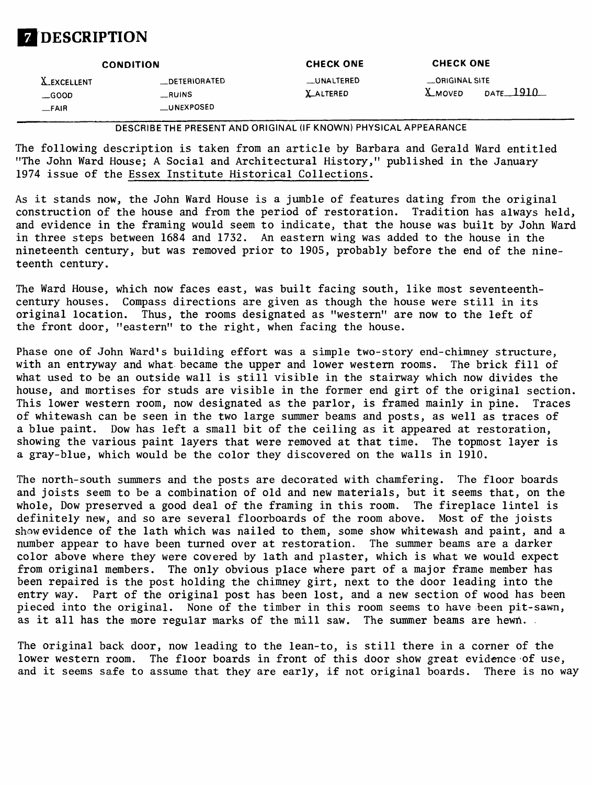# **DESCRIPTION**

|                                                 | <b>CONDITION</b>                              | <b>CHECK ONE</b>               | <b>CHECK ONE</b>                 |             |
|-------------------------------------------------|-----------------------------------------------|--------------------------------|----------------------------------|-------------|
| <b>X_EXCELLENT</b><br>$\equiv$ GOOD<br>$-$ FAIR | <b>DETERIORATED</b><br>__RUINS<br>__UNEXPOSED | __UNALTERED<br><b>LALTERED</b> | _ORIGINAL SITE<br><b>X_MOVED</b> | DATE $1910$ |

DESCRIBE THE PRESENT AND ORIGINAL (IF KNOWN) PHYSICAL APPEARANCE

The following description is taken from an article by Barbara and Gerald Ward entitled "The John Ward House; A Social and Architectural History," published in the January 1974 issue of the Essex Institute Historical Collections.

As it stands now, the John Ward House is a jumble of features dating from the original construction of the house and from the period of restoration. Tradition has always held, and evidence in the framing would seem to indicate, that the house was built by John Ward in three steps between 1684 and 1732. An eastern wing was added to the house in the nineteenth century, but was removed prior to 1905, probably before the end of the nineteenth century.

The Ward House, which now faces east, was built facing south, like most seventeenthcentury houses. Compass directions are given as though the house were still in its original location. Thus, the rooms designated as "western" are now to the left of the front door, "eastern" to the right, when facing the house.

Phase one of John Ward's building effort was a simple two-story end-chimney structure, with an entryway and what became the upper and lower western rooms. The brick fill of what used to be an outside wall is still visible in the stairway which now divides the house, and mortises for studs are visible in the former end girt of the original section. This lower western room, now designated as the parlor, is framed mainly in pine. Traces of whitewash can be seen in the two large summer beams and posts, as well as traces of a blue paint. Dow has left a small bit of the ceiling as it appeared at restoration, showing the various paint layers that were removed at that time. The topmost layer is a gray-blue, which would be the color they discovered on the walls in 1910.

The north-south summers and the posts are decorated with chamfering. The floor boards and joists seem to be a combination of old and new materials, but it seems that, on the whole, Dow preserved a good deal of the framing in this room. The fireplace lintel is definitely new, and so are several floorboards of the room above. Most of the joists show evidence of the lath which was nailed to them, some show whitewash and paint, and a number appear to have been turned over at restoration. The summer beams are a darker color above where they were covered by lath and plaster, which is what we would expect from original members. The only obvious place where part of a major frame member has been repaired is the post holding the chimney girt, next to the door leading into the entry way. Part of the original post has been lost, and a new section of wood has been pieced into the original. None of the timber in this room seems to have .been pit-sawn, as it all has the more regular marks of the mill saw. The summer beams are hewn.

The original back door, now leading to the lean-to, is still there in a corner of the lower western room. The floor boards in front of this door show great evidence of use, and it seems safe to assume that they are early, if not original boards. There is no way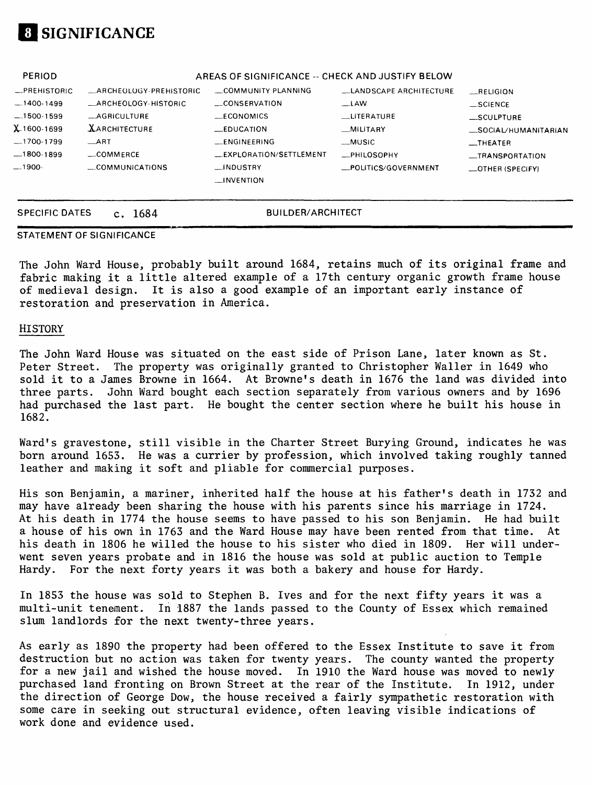# SIGNIFICANCE

| <b>PERIOD</b> |                                | AREAS OF SIGNIFICANCE -- CHECK AND JUSTIFY BELOW |                        |                          |
|---------------|--------------------------------|--------------------------------------------------|------------------------|--------------------------|
| -PREHISTORIC  | <b>LARCHEOLOGY-PREHISTORIC</b> | COMMUNITY PLANNING                               | LANDSCAPE ARCHITECTURE | RELIGION                 |
| $-1400-1499$  | _ARCHEOLOGY-HISTORIC           | CONSERVATION                                     | $-LAW$                 | $\_SCIENCE$              |
| $-1500-1599$  | -AGRICULTURE                   | $-CONOMICS$                                      | LITERATURE             | SCULPTURE                |
| X 1600-1699   | <b>XARCHITECTURE</b>           | $\equiv$ EDUCATION                               | MULTARY                | _SOCIAL/HUMANITARIAN     |
| -1700-1799    | $\_$ ART                       | <b>ENGINEERING</b>                               | _MUSIC                 | $\equiv$ THEATER         |
|               | _COMMERCE                      | _EXPLORATION/SETTLEMENT                          | _PHILOSOPHY            | __TRANSPORTATION         |
| $-.1900-$     | $\sim$ COMMUNICATIONS          | __INDUSTRY                                       | _POLITICS/GOVERNMENT   | $\equiv$ OTHER (SPECIFY) |
|               |                                | $\rightarrow$ INVENTION                          |                        |                          |
|               |                                |                                                  |                        |                          |
|               |                                |                                                  |                        |                          |

SPECIFIC DATES c. 1684 BUILDER/ARCHITECT

### STATEMENT OF SIGNIFICANCE

The John Ward House, probably built around 1684, retains much of its original frame and fabric making it a little altered example of a 17th century organic growth frame house of medieval design. It is also a good example of an important early instance of restoration and preservation in America.

#### HISTORY

The John Ward House was situated on the east side of Prison Lane, later known as St. Peter Street. The property was originally granted to Christopher Waller in 1649 who sold it to a James Browne in 1664. At Browne's death in 1676 the land was divided into three parts. John Ward bought each section separately from various owners and by 1696 had purchased the last part. He bought the center section where he built his house in 1682.

Ward's gravestone, still visible in the Charter Street Burying Ground, indicates he was born around 1653. He was a currier by profession, which involved taking roughly tanned leather and making it soft and pliable for commercial purposes.

His son Benjamin, a mariner, inherited half the house at his father's death in 1732 and may have already been sharing the house with his parents since his marriage in 1724. At his death in 1774 the house seems to have passed to his son Benjamin. He had built a house of his own in 1763 and the Ward House may have been rented from that time. At his death in 1806 he willed the house to his sister who died in 1809. Her will underwent seven years probate and in 1816 the house was sold at public auction to Temple Hardy. For the next forty years it was both a bakery and house for Hardy.

In 1853 the house was sold to Stephen B. Ives and for the next fifty years it was a multi-unit tenement. In 1887 the lands passed to the County of Essex which remained slum landlords for the next twenty-three years.

As early as 1890 the property had been offered to the Essex Institute to save it from destruction but no action was taken for twenty years. The county wanted the property for a new jail and wished the house moved. In 1910 the Ward house was moved to newly purchased land fronting on Brown Street at the rear of the Institute. In 1912, under the direction of George Dow, the house received a fairly sympathetic restoration with some care in seeking out structural evidence, often leaving visible indications of work done and evidence used.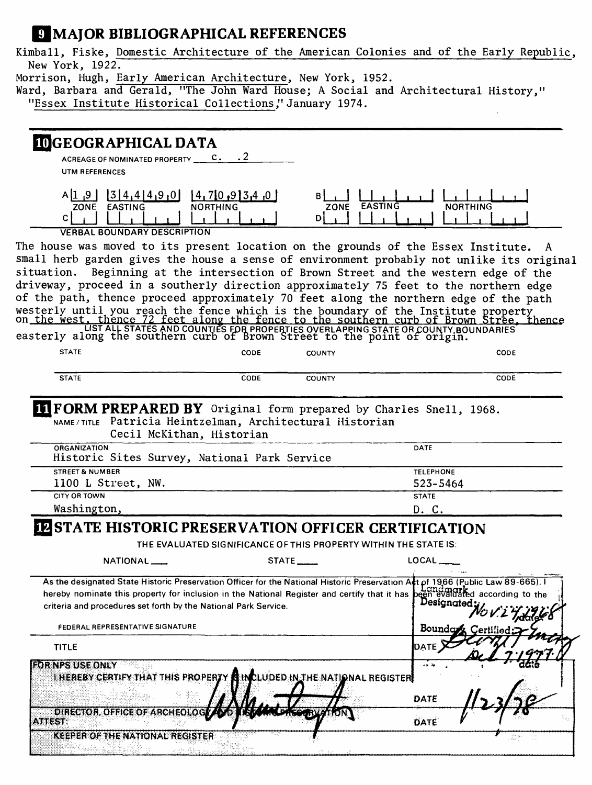## **IMAJOR BIBLIOGRAPHICAL REFERENCES**

Kimball, Fiske, Domestic Architecture of the American Colonies and of the Early Republic, New York, 1922.

Morrison, Hugh, Early American Architecture, New York, 1952.

Ward, Barbara and Gerald, "The John Ward House; A Social and Architectural History," "Essex Institute Historical Collections," January 1974.

| <b>IDGEOGRAPHICAL DATA</b><br>ACREAGE OF NOMINATED PROPERTY __                                                                                                                                                                       | $\cdot$ 2<br>$c_{\star}$         |                                                                  |                                                                           |
|--------------------------------------------------------------------------------------------------------------------------------------------------------------------------------------------------------------------------------------|----------------------------------|------------------------------------------------------------------|---------------------------------------------------------------------------|
| UTM REFERENCES                                                                                                                                                                                                                       |                                  |                                                                  |                                                                           |
| 3 4,4 4,9,0 <br>$A$ [1.4]<br>ZONE EASTING<br>C.<br><b>VERBAL BOUNDARY DESCRIPTION</b>                                                                                                                                                | [4,7[0,9]3,4]<br><b>NORTHING</b> | BI<br>EASTING<br>ZONE<br>D                                       | <b>NORTHING</b>                                                           |
| The house was moved to its present location on the grounds of the Essex Institute. A                                                                                                                                                 |                                  |                                                                  |                                                                           |
| small herb garden gives the house a sense of environment probably not unlike its original                                                                                                                                            |                                  |                                                                  |                                                                           |
| situation.                                                                                                                                                                                                                           |                                  |                                                                  | Beginning at the intersection of Brown Street and the western edge of the |
| driveway, proceed in a southerly direction approximately 75 feet to the northern edge                                                                                                                                                |                                  |                                                                  |                                                                           |
| of the path, thence proceed approximately 70 feet along the northern edge of the path                                                                                                                                                |                                  |                                                                  |                                                                           |
| westerly until you reach the fence which is the boundary of the Institute property<br>on the west, thence 72 feet along the fence to the southern curb of Brown Stree, thence<br>easterly along the southern curb of Brown Street to |                                  |                                                                  |                                                                           |
| <b>STATE</b>                                                                                                                                                                                                                         | CODE                             | <b>COUNTY</b>                                                    | CODE                                                                      |
| <b>STATE</b>                                                                                                                                                                                                                         | CODE                             | <b>COUNTY</b>                                                    | CODE                                                                      |
| <b>IT FORM PREPARED BY</b> Original form prepared by Charles Snell, 1968.<br>NAME/TITLE Patricia Heintzelman, Architectural Historian<br>Cecil McKithan, Historian<br><b>ORGANIZATION</b>                                            |                                  |                                                                  | DATE                                                                      |
| Historic Sites Survey, National Park Service                                                                                                                                                                                         |                                  |                                                                  |                                                                           |
| <b>STREET &amp; NUMBER</b><br>1100 L Street, NW.                                                                                                                                                                                     |                                  |                                                                  | <b>TELEPHONE</b><br>523-5464                                              |
| <b>CITY OR TOWN</b>                                                                                                                                                                                                                  |                                  |                                                                  | <b>STATE</b>                                                              |
| Washington,                                                                                                                                                                                                                          |                                  |                                                                  | D. C.                                                                     |
| <b>IZ STATE HISTORIC PRESERVATION OFFICER CERTIFICATION</b>                                                                                                                                                                          |                                  |                                                                  |                                                                           |
|                                                                                                                                                                                                                                      |                                  | THE EVALUATED SIGNIFICANCE OF THIS PROPERTY WITHIN THE STATE IS: |                                                                           |
| NATIONAL___                                                                                                                                                                                                                          |                                  | STATE                                                            | LOCAL ____                                                                |
| As the designated State Historic Preservation Officer for the National Historic Preservation Art of 1966 (Public Law 89-665). I                                                                                                      |                                  |                                                                  |                                                                           |
| hereby nominate this property for inclusion in the National Register and certify that it has been evaluated according to the                                                                                                         |                                  |                                                                  |                                                                           |
| criteria and procedures set forth by the National Park Service.                                                                                                                                                                      |                                  |                                                                  | Designated:                                                               |
| FEDERAL REPRESENTATIVE SIGNATURE                                                                                                                                                                                                     |                                  |                                                                  | 0 V. 2 Trita<br>Boundary Certified:                                       |
| <b>TITLE</b>                                                                                                                                                                                                                         |                                  |                                                                  | DATE                                                                      |
| <b>FOR NPS USE ONLY</b>                                                                                                                                                                                                              |                                  |                                                                  | an Ap                                                                     |
| I HEREBY CERTIFY THAT THIS PROPERTY <b>A</b> INCLUDED IN THE NATIONAL REGISTER                                                                                                                                                       |                                  |                                                                  |                                                                           |
|                                                                                                                                                                                                                                      |                                  |                                                                  | DATE                                                                      |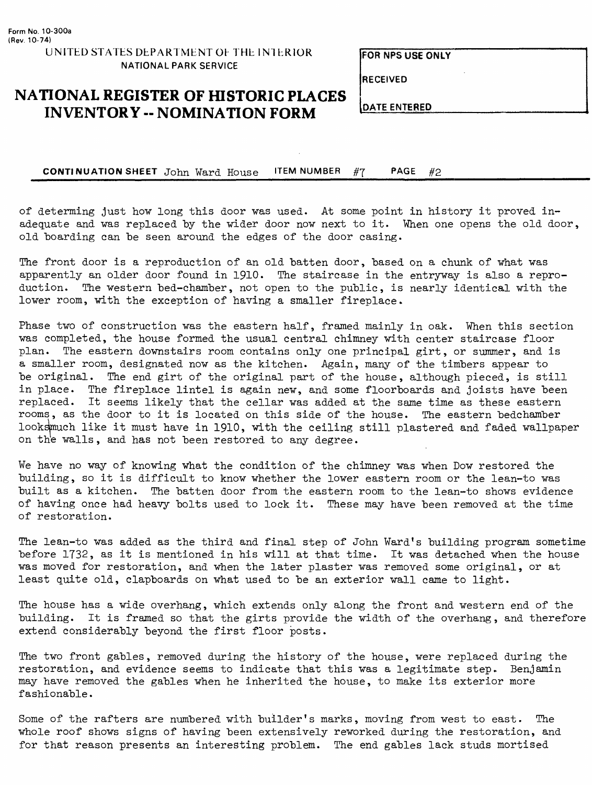**FOR NFS USE ONLY**

**RECEIVED**

### **NATIONAL REGISTER OF HISTORIC PLACES INVENTORY -- NOMINATION FORM** DATE ENTERED

**CONTINUATION SHEET** John Ward House ITEM NUMBER #7 PAGE #2

of determing just how long this door was used. At some point in history it proved inadequate and was replaced by the wider door now next to it. When one opens the old door, old boarding can be seen around the edges of the door casing.

The front door is a reproduction of an old batten door, based on a chunk of what was apparently an older door found in 1910. The staircase in the entryway is also a reproduction. The western bed-chamber, not open to the public, is nearly identical with the lower room, with the exception of having a smaller fireplace.

Phase two of construction was the eastern half, framed mainly in oak. When this section was completed, the house formed the usual central chimney with center staircase floor plan. The eastern downstairs room contains only one principal girt, or summer, and is a smaller room, designated now as the kitchen. Again, many of the timbers appear to be original. The end girt of the original part of the house, although pieced, is still in place. The fireplace lintel is again new, and some floorboards and joists have been replaced. It seems likely that the cellar was added at the same time as these eastern rooms, as the door to it is located on this side of the house. The eastern bedchamber looksmuch like it must have in 1910, with the ceiling still plastered and faded wallpaper on the walls, and has not been restored to any degree.

We have no way of knowing what the condition of the chimney was when Dow restored the building, so it is difficult to know whether the lower eastern room or the lean-to was built as a kitchen. The batten door from the eastern room to the lean-to shows evidence of having once had heavy bolts used to lock it. These may have been removed at the time of restoration.

The lean-to was added as the third and final step of John Ward's building program sometime before 1732, as it is mentioned in his will at that time. It was detached when the house was moved for restoration, and when the later plaster was removed some original, or at least quite old, clapboards on what used to be an exterior wall came to light.

The house has a wide overhang, which extends only along the front and western end of the building. It is framed so that the girts provide the width of the overhang, and therefore extend considerably beyond the first floor posts.

The two front gables, removed during the history of the house, were replaced during the restoration, and evidence seems to indicate that this was a legitimate step. Benjamin may have removed the gables when he inherited the house, to make its exterior more fashionable.

Some of the rafters are numbered with builder's marks, moving from west to east. The whole roof shows signs of having been extensively reworked during the restoration, and for that reason presents an interesting problem. The end gables lack studs mortised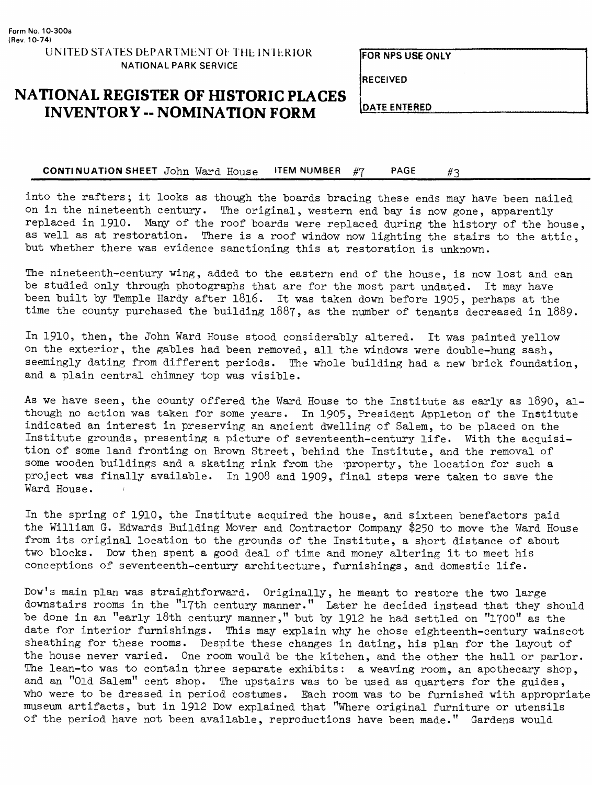**FOR NPS USE ONIY**

**RECEIVED**

## **NATIONAL REGISTER OF HISTORIC PLACES INVENTORY -- NOMINATION FORM**

**DATE ENTERED**

**CONTINUATION SHEET** John Ward House **ITEM NUMBER** #7 PAGE #3

into the rafters; it looks as though the boards bracing these ends may have been nailed on in the nineteenth century. The original, western end bay is now gone, apparently replaced in 1910. Many of the roof boards were replaced during the history of the house, as well as at restoration. There is a roof window now lighting the stairs to the attic, but whether there was evidence sanctioning this at restoration is unknown.

The nineteenth-century wing, added to the eastern end of the house, is now lost and can be studied only through photographs that are for the most part undated. It may have been built by Temple Hardy after l8l6. It was taken down before 1905, perhaps at the time the county purchased the building 1887, as the number of tenants decreased in 1889.

In 1910, then, the John Ward House stood considerably altered. It was painted yellow on the exterior, the gables had been removed, all the windows were double-hung sash, seemingly dating from different periods. The whole building had a new brick foundation, and a plain central chimney top was visible.

As we have seen, the county offered the Ward House to the Institute as early as 1890, although no action was taken for some years. In 1905, President Appleton of the Institute indicated an interest in preserving an ancient dwelling of Salem, to be placed on the Institute grounds, presenting a picture of seventeenth-century life. With the acquisition of some land fronting on Brown Street, behind the Institute, and the removal of some wooden buildings and a skating rink from the property, the location for such a project was finally available. In 1908 and 1909, final steps were taken to save the Ward House.

In the spring of 1910, the Institute acquired the house, and sixteen benefactors paid the William G. Edwards Building Mover and Contractor Company \$250 to move the Ward House from its original location to the grounds of the Institute, a short distance of about two blocks. Dow then spent a good deal of time and money altering it to meet his conceptions of seventeenth-century architecture, furnishings, and domestic life.

Dow's main plan was straightforward. Originally, he meant to restore the two large downstairs rooms in the "17th century manner." Later he decided instead that they should be done in an "early l8th century manner," but by 1912 he had settled on "1700" as the date for interior furnishings. This may explain why he chose eighteenth-century wainscot sheathing for these rooms. Despite these changes in dating, his plan for the layout of the house never varied. One room would be the kitchen, and the other the hall or parlor. The lean-to was to contain three separate exhibits: a weaving room, an apothecary shop, and an "Old Salem" cent shop. The upstairs was to be used as quarters for the guides, who were to be dressed in period costumes. Each room was to be furnished with appropriate museum artifacts, but in 1912 Dow explained that "Where original furniture or utensils of the period have not been available, reproductions have been made." Gardens would